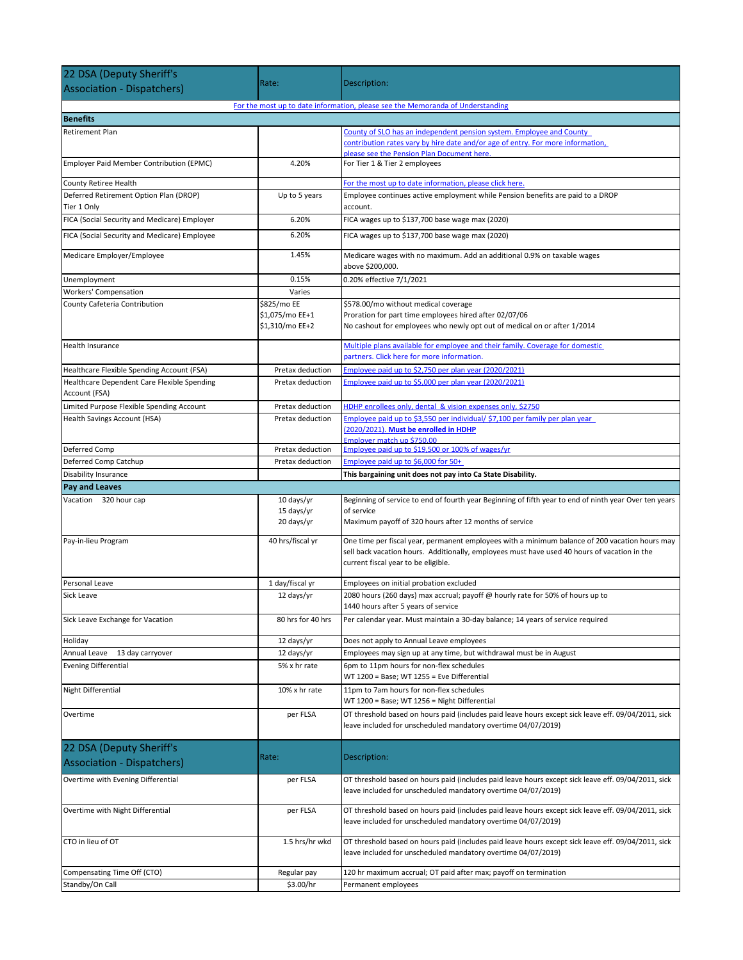| 22 DSA (Deputy Sheriff's                                      |                                    |                                                                                                                                                                                                                      |  |  |
|---------------------------------------------------------------|------------------------------------|----------------------------------------------------------------------------------------------------------------------------------------------------------------------------------------------------------------------|--|--|
| <b>Association - Dispatchers)</b>                             | Rate:                              | Description:                                                                                                                                                                                                         |  |  |
|                                                               |                                    | For the most up to date information, please see the Memoranda of Understanding                                                                                                                                       |  |  |
| <b>Benefits</b>                                               |                                    |                                                                                                                                                                                                                      |  |  |
| Retirement Plan                                               |                                    | County of SLO has an independent pension system. Employee and County                                                                                                                                                 |  |  |
|                                                               |                                    | contribution rates vary by hire date and/or age of entry. For more information,                                                                                                                                      |  |  |
| Employer Paid Member Contribution (EPMC)                      | 4.20%                              | please see the Pension Plan Document here.<br>For Tier 1 & Tier 2 employees                                                                                                                                          |  |  |
|                                                               |                                    |                                                                                                                                                                                                                      |  |  |
| County Retiree Health                                         |                                    | For the most up to date information, please click here.                                                                                                                                                              |  |  |
| Deferred Retirement Option Plan (DROP)<br>Tier 1 Only         | Up to 5 years                      | Employee continues active employment while Pension benefits are paid to a DROP<br>account.                                                                                                                           |  |  |
| FICA (Social Security and Medicare) Employer                  | 6.20%                              | FICA wages up to \$137,700 base wage max (2020)                                                                                                                                                                      |  |  |
| FICA (Social Security and Medicare) Employee                  | 6.20%                              | FICA wages up to \$137,700 base wage max (2020)                                                                                                                                                                      |  |  |
| Medicare Employer/Employee                                    | 1.45%                              | Medicare wages with no maximum. Add an additional 0.9% on taxable wages<br>above \$200,000.                                                                                                                          |  |  |
| Unemployment                                                  | 0.15%                              | 0.20% effective 7/1/2021                                                                                                                                                                                             |  |  |
| Workers' Compensation                                         | Varies                             |                                                                                                                                                                                                                      |  |  |
| County Cafeteria Contribution                                 | \$825/mo EE                        | \$578.00/mo without medical coverage                                                                                                                                                                                 |  |  |
|                                                               | \$1,075/mo EE+1<br>\$1,310/mo EE+2 | Proration for part time employees hired after 02/07/06<br>No cashout for employees who newly opt out of medical on or after 1/2014                                                                                   |  |  |
| <b>Health Insurance</b>                                       |                                    | Multiple plans available for employee and their family. Coverage for domestic                                                                                                                                        |  |  |
|                                                               |                                    | partners. Click here for more information.                                                                                                                                                                           |  |  |
| Healthcare Flexible Spending Account (FSA)                    | Pretax deduction                   | Employee paid up to \$2,750 per plan year (2020/2021)                                                                                                                                                                |  |  |
| Healthcare Dependent Care Flexible Spending                   | Pretax deduction                   | Employee paid up to \$5,000 per plan year (2020/2021)                                                                                                                                                                |  |  |
| Account (FSA)                                                 |                                    |                                                                                                                                                                                                                      |  |  |
| Limited Purpose Flexible Spending Account                     | Pretax deduction                   | HDHP enrollees only, dental & vision expenses only, \$2750                                                                                                                                                           |  |  |
| Health Savings Account (HSA)                                  | Pretax deduction                   | Employee paid up to \$3,550 per individual/ \$7,100 per family per plan year<br>(2020/2021). Must be enrolled in HDHP                                                                                                |  |  |
| Deferred Comp                                                 | Pretax deduction                   | Employer match up \$750.00<br>Employee paid up to \$19,500 or 100% of wages/yr                                                                                                                                       |  |  |
| Deferred Comp Catchup                                         | Pretax deduction                   | Employee paid up to \$6,000 for 50+                                                                                                                                                                                  |  |  |
| Disability Insurance                                          |                                    | This bargaining unit does not pay into Ca State Disability.                                                                                                                                                          |  |  |
|                                                               |                                    |                                                                                                                                                                                                                      |  |  |
| <b>Pay and Leaves</b>                                         |                                    |                                                                                                                                                                                                                      |  |  |
| Vacation 320 hour cap                                         | 10 days/yr                         | Beginning of service to end of fourth year Beginning of fifth year to end of ninth year Over ten years                                                                                                               |  |  |
|                                                               | 15 days/yr                         | of service                                                                                                                                                                                                           |  |  |
|                                                               | 20 days/yr                         | Maximum payoff of 320 hours after 12 months of service                                                                                                                                                               |  |  |
| Pay-in-lieu Program                                           | 40 hrs/fiscal yr                   | One time per fiscal year, permanent employees with a minimum balance of 200 vacation hours may                                                                                                                       |  |  |
|                                                               |                                    | sell back vacation hours. Additionally, employees must have used 40 hours of vacation in the                                                                                                                         |  |  |
|                                                               |                                    | current fiscal year to be eligible.                                                                                                                                                                                  |  |  |
| Personal Leave                                                | 1 day/fiscal yr                    | Employees on initial probation excluded                                                                                                                                                                              |  |  |
| Sick Leave                                                    | 12 days/yr                         | 2080 hours (260 days) max accrual; payoff @ hourly rate for 50% of hours up to<br>1440 hours after 5 years of service                                                                                                |  |  |
| Sick Leave Exchange for Vacation                              | 80 hrs for 40 hrs                  | Per calendar year. Must maintain a 30-day balance; 14 years of service required                                                                                                                                      |  |  |
| Holiday                                                       | 12 days/yr                         | Does not apply to Annual Leave employees                                                                                                                                                                             |  |  |
| Annual Leave<br>13 day carryover                              | 12 days/yr                         | Employees may sign up at any time, but withdrawal must be in August                                                                                                                                                  |  |  |
| <b>Evening Differential</b>                                   | 5% x hr rate                       | 6pm to 11pm hours for non-flex schedules<br>WT 1200 = Base; WT 1255 = Eve Differential                                                                                                                               |  |  |
| Night Differential                                            | 10% x hr rate                      | 11pm to 7am hours for non-flex schedules                                                                                                                                                                             |  |  |
| Overtime                                                      | per FLSA                           | WT 1200 = Base; WT 1256 = Night Differential<br>OT threshold based on hours paid (includes paid leave hours except sick leave eff. 09/04/2011, sick<br>leave included for unscheduled mandatory overtime 04/07/2019) |  |  |
|                                                               |                                    |                                                                                                                                                                                                                      |  |  |
| 22 DSA (Deputy Sheriff's<br><b>Association - Dispatchers)</b> | Rate:                              | Description:                                                                                                                                                                                                         |  |  |
|                                                               |                                    |                                                                                                                                                                                                                      |  |  |
| Overtime with Evening Differential                            | per FLSA                           | OT threshold based on hours paid (includes paid leave hours except sick leave eff. 09/04/2011, sick<br>leave included for unscheduled mandatory overtime 04/07/2019)                                                 |  |  |
| Overtime with Night Differential                              | per FLSA                           | OT threshold based on hours paid (includes paid leave hours except sick leave eff. 09/04/2011, sick<br>leave included for unscheduled mandatory overtime 04/07/2019)                                                 |  |  |
| CTO in lieu of OT                                             | 1.5 hrs/hr wkd                     | OT threshold based on hours paid (includes paid leave hours except sick leave eff. 09/04/2011, sick<br>leave included for unscheduled mandatory overtime 04/07/2019)                                                 |  |  |
| Compensating Time Off (CTO)                                   | Regular pay                        | 120 hr maximum accrual; OT paid after max; payoff on termination                                                                                                                                                     |  |  |